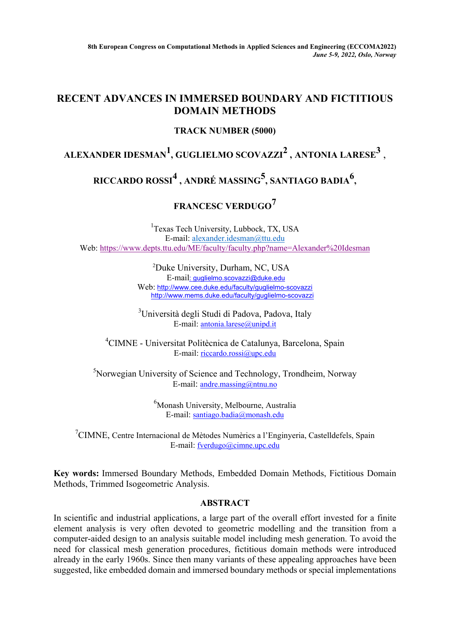**8th European Congress on Computational Methods in Applied Sciences and Engineering (ECCOMA2022)** *June 5-9, 2022, Oslo, Norway*

### **RECENT ADVANCES IN IMMERSED BOUNDARY AND FICTITIOUS DOMAIN METHODS**

#### **TRACK NUMBER (5000)**

### **ALEXANDER IDESMAN1, GUGLIELMO SCOVAZZI2 , ANTONIA LARESE3** ,

# **RICCARDO ROSSI<sup>4</sup> , ANDRÉ MASSING5, SANTIAGO BADIA6,**

# **FRANCESC VERDUGO<sup>7</sup>**

<sup>1</sup>Texas Tech University, Lubbock, TX, USA E-mail: [alexander.idesman@ttu.edu](mailto:alexander.idesman@ttu.edu) Web: <https://www.depts.ttu.edu/ME/faculty/faculty.php?name=Alexander%20Idesman>

> 2 Duke University, Durham, NC, USA [E-mail](mailto:guglielmo.scovazzi@duke.edu)[: guglielmo.scovazzi@duke.edu](mailto:guglielmo.scovazzi@duke.edu) Web: <http://www.cee.duke.edu/faculty/guglielmo-scovazzi> <http://www.mems.duke.edu/faculty/guglielmo-scovazzi>

<sup>3</sup>Università degli Studi di Padova, Padova, Italy E-mail: [antonia.larese@unipd.it](mailto:antonia.larese@unipd.it)

4 CIMNE - Universitat Politècnica de Catalunya, Barcelona, Spain E-mail: riccardo.rossi[@upc.edu](https://nam04.safelinks.protection.outlook.com/?url=http%3A%2F%2Fupc.edu%2F&data=04%7C01%7CAlexander.Idesman%40ttu.edu%7C077d75de6370475bdbd608d93a73424e%7C178a51bf8b2049ffb65556245d5c173c%7C0%7C0%7C637605089014625135%7CUnknown%7CTWFpbGZsb3d8eyJWIjoiMC4wLjAwMDAiLCJQIjoiV2luMzIiLCJBTiI6Ik1haWwiLCJXVCI6Mn0%3D%7C1000&sdata=40veOsq08rDF%2BYmHMxgm8NJtcYWXEedex5bptMtG8HQ%3D&reserved=0)

<sup>5</sup>Norwegian University of Science and Technology, Trondheim, Norway E-mail: [andre.massing@ntnu.no](mailto:andre.massing@ntnu.no)

> 6 Monash University, Melbourne, Australia E-mail: [santiago.badia@monash.edu](mailto:santiago.badia@monash.edu)

<sup>7</sup>CIMNE, Centre Internacional de Mètodes Numèrics a l'Enginyeria, Castelldefels, Spain E-mail: [fverdugo@cimne.upc.edu](mailto:fverdugo@cimne.upc.edu)

**Key words:** Immersed Boundary Methods, Embedded Domain Methods, Fictitious Domain Methods, Trimmed Isogeometric Analysis.

#### **ABSTRACT**

In scientific and industrial applications, a large part of the overall effort invested for a finite element analysis is very often devoted to geometric modelling and the transition from a computer-aided design to an analysis suitable model including mesh generation. To avoid the need for classical mesh generation procedures, fictitious domain methods were introduced already in the early 1960s. Since then many variants of these appealing approaches have been suggested, like embedded domain and immersed boundary methods or special implementations